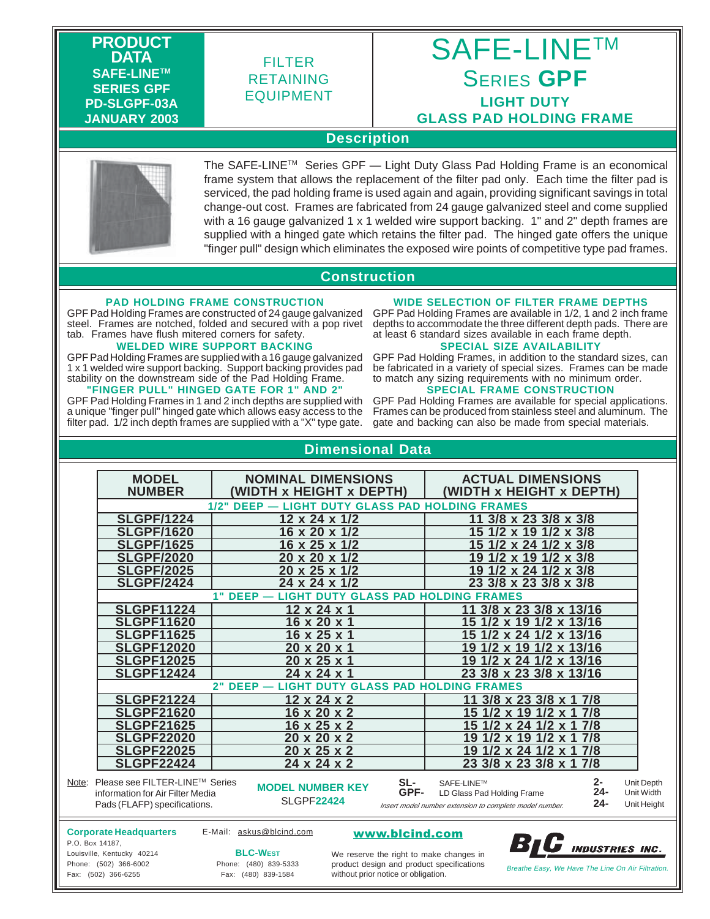**PRODUCT DATA SAFE-LINETM SERIES GPF PD-SLGPF-03A JANUARY 2003**

# FILTER RETAINING EQUIPMENT

# SAFE-LINE™ SERIES **GPF LIGHT DUTY GLASS PAD HOLDING FRAME**

### **Description**



The SAFE-LINE™ Series GPF - Light Duty Glass Pad Holding Frame is an economical frame system that allows the replacement of the filter pad only. Each time the filter pad is serviced, the pad holding frame is used again and again, providing significant savings in total change-out cost. Frames are fabricated from 24 gauge galvanized steel and come supplied with a 16 gauge galvanized 1 x 1 welded wire support backing. 1" and 2" depth frames are supplied with a hinged gate which retains the filter pad. The hinged gate offers the unique "finger pull" design which eliminates the exposed wire points of competitive type pad frames.

### **Construction**

#### **PAD HOLDING FRAME CONSTRUCTION**

GPF Pad Holding Frames are constructed of 24 gauge galvanized steel. Frames are notched, folded and secured with a pop rivet tab. Frames have flush mitered corners for safety.

#### **WELDED WIRE SUPPORT BACKING**

GPF Pad Holding Frames are supplied with a 16 gauge galvanized 1 x 1 welded wire support backing. Support backing provides pad stability on the downstream side of the Pad Holding Frame. **"FINGER PULL" HINGED GATE FOR 1" AND 2"**

GPF Pad Holding Frames in 1 and 2 inch depths are supplied with a unique "finger pull" hinged gate which allows easy access to the filter pad. 1/2 inch depth frames are supplied with a "X" type gate.

### **WIDE SELECTION OF FILTER FRAME DEPTHS**

GPF Pad Holding Frames are available in 1/2, 1 and 2 inch frame depths to accommodate the three different depth pads. There are at least 6 standard sizes available in each frame depth.

#### **SPECIAL SIZE AVAILABILITY**

GPF Pad Holding Frames, in addition to the standard sizes, can be fabricated in a variety of special sizes. Frames can be made to match any sizing requirements with no minimum order. **SPECIAL FRAME CONSTRUCTION**

#### GPF Pad Holding Frames are available for special applications. Frames can be produced from stainless steel and aluminum. The gate and backing can also be made from special materials.

### **Dimensional Data**

| <b>MODEL</b><br><b>NUMBER</b>                                                                            | <b>NOMINAL DIMENSIONS</b><br>(WIDTH x HEIGHT x DEPTH)       | <b>ACTUAL DIMENSIONS</b><br>(WIDTH x HEIGHT x DEPTH)                                                                       |                                         |
|----------------------------------------------------------------------------------------------------------|-------------------------------------------------------------|----------------------------------------------------------------------------------------------------------------------------|-----------------------------------------|
| 1/2" DEEP - LIGHT DUTY GLASS PAD HOLDING FRAMES                                                          |                                                             |                                                                                                                            |                                         |
| <b>SLGPF/1224</b>                                                                                        | 12 x 24 x 1/2                                               | 11 3/8 x 23 3/8 x 3/8                                                                                                      |                                         |
| <b>SLGPF/1620</b>                                                                                        | 16 x 20 x 1/2                                               | $1/2 \times 19$ 1/2 $\times$ 3/8<br>15                                                                                     |                                         |
| <b>SLGPF/1625</b>                                                                                        | 16 x 25 x 1/2                                               | $1/2 \times 3/8$<br>/2 x 24                                                                                                |                                         |
| <b>SLGPF/2020</b>                                                                                        | 20 x 20 x 1/2                                               | 19<br>$1/2 \times 3/8$<br>Ι9<br>$\mathbf{x}$                                                                               |                                         |
| <b>SLGPF/2025</b>                                                                                        | 20 x 25 x 1/2                                               | x 24 1/2 x 3/8<br>19                                                                                                       |                                         |
| <b>SLGPF/2424</b>                                                                                        | 24 x 24 x 1/2                                               | 23 3/8 x 23 3/8 x 3/8                                                                                                      |                                         |
| <b>LIGHT DUTY GLASS PAD HOLDING FRAMES</b><br>$1"$ DEEP $-$                                              |                                                             |                                                                                                                            |                                         |
| <b>SLGPF11224</b>                                                                                        | 12 x 24 x 1                                                 | 3/8 x 23 3/8 x 13/16                                                                                                       |                                         |
| <b>SLGPF11620</b>                                                                                        | 16 x 20 x 1                                                 | x 19 1/2 x 13/16<br>15                                                                                                     |                                         |
| <b>SLGPF11625</b>                                                                                        | 16 x 25 x 1                                                 | $1/2 \times 24$ 1/2 x 13/16<br>15                                                                                          |                                         |
| <b>SLGPF12020</b>                                                                                        | 20 x 20 x 1                                                 | $1/2 \times 13/16$<br>/2 x 19<br>19                                                                                        |                                         |
| <b>SLGPF12025</b>                                                                                        | 20 x 25 x 1                                                 | /2 x 24 1/2 x 13/16<br>19                                                                                                  |                                         |
| <b>SLGPF12424</b>                                                                                        | 24 x 24 x 1                                                 | 23 3/8 x 23 3/8 x 13/16                                                                                                    |                                         |
| <b>LIGHT DUTY GLASS PAD HOLDING FRAMES</b><br>$2"$ DEEP $-$                                              |                                                             |                                                                                                                            |                                         |
| <b>SLGPF21224</b>                                                                                        | $\overline{12}$ x 24 x 2                                    | $3/8 \times 23$ $3/8 \times 1$ 7/8                                                                                         |                                         |
| <b>SLGPF21620</b>                                                                                        | 16 x 20 x 2                                                 | 7/8<br><u> 9</u><br>5                                                                                                      |                                         |
| <b>SLGPF21625</b>                                                                                        | 16 x 25 x 2                                                 | 7/8<br>$1/2 \times 24$<br>5.                                                                                               |                                         |
| <b>SLGPF22020</b>                                                                                        | 20 x 20 x 2                                                 | 7/8<br>9<br><u> 9</u>                                                                                                      |                                         |
| <b>SLGPF22025</b>                                                                                        | 20 x 25 x 2                                                 | 7/8<br>19<br>$1/2 \times 24$<br>.1<br>$\mathbf{x}$                                                                         |                                         |
| <b>SLGPF22424</b>                                                                                        | 24 x 24 x 2                                                 | 23 3/8 x 23 3/8 x 1 7/8                                                                                                    |                                         |
| Note: Please see FILTER-LINE™ Series<br>information for Air Filter Media<br>Pads (FLAFP) specifications. | SL-<br><b>MODEL NUMBER KEY</b><br>GPF-<br><b>SLGPF22424</b> | 2-<br>SAFE-LINE™<br>24-<br>LD Glass Pad Holding Frame<br>$24 -$<br>Insert model number extension to complete model number. | Unit Depth<br>Unit Width<br>Unit Height |

#### **Corporate Headquarters** P.O. Box 14187,

E-Mail: askus@blcind.com **www.blcind.com** 



Louisville, Kentucky 40214 Phone: (502) 366-6002 Fax: (502) 366-6255

**BLC-WEST** Phone: (480) 839-5333

Frome. (480) 839-0333 Product design and product specifications<br>Fax: (480) 839-1584 Without prior notice or obligation. We reserve the right to make changes in product design and product specifications without prior notice or obligation.